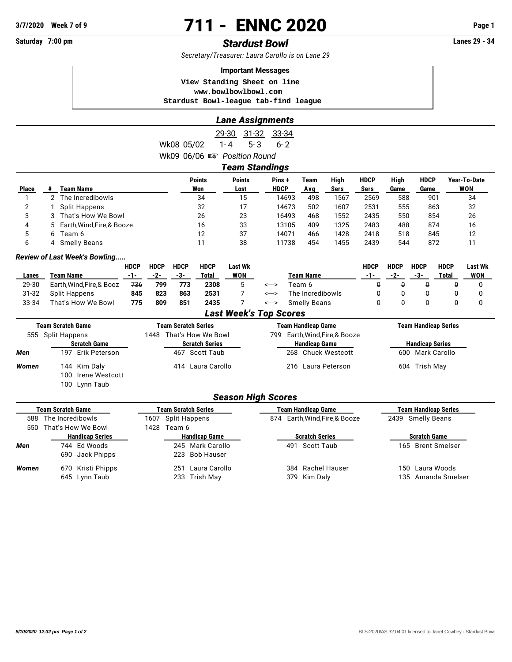# **3/7/2020 Week 7 of 9 711 - ENNC 2020 Page 1**

## **Saturday 7:00 pm** *Stardust Bowl* **Lanes 29 - 34**

*Secretary/Treasurer: Laura Carollo is on Lane 29*

#### **Important Messages**

 **View Standing Sheet on line <www.bowlbowlbowl.com> Stardust Bowl-league tab-find league**

|              | <b>Lane Assignments</b> |                              |                                        |                       |             |      |      |             |      |             |              |  |  |
|--------------|-------------------------|------------------------------|----------------------------------------|-----------------------|-------------|------|------|-------------|------|-------------|--------------|--|--|
|              |                         |                              |                                        | 29-30<br>$31 - 32$    | 33-34       |      |      |             |      |             |              |  |  |
|              |                         |                              | Wk08 05/02                             | $5 - 3$<br>1-4        | $6 - 2$     |      |      |             |      |             |              |  |  |
|              |                         |                              | Wk09 06/06 $\mathbb{R}$ Position Round |                       |             |      |      |             |      |             |              |  |  |
|              |                         |                              |                                        | <b>Team Standings</b> |             |      |      |             |      |             |              |  |  |
|              |                         |                              | <b>Points</b>                          | <b>Points</b>         | Pins+       | Team | High | <b>HDCP</b> | High | <b>HDCP</b> | Year-To-Date |  |  |
| <b>Place</b> | #                       | <b>Team Name</b>             | Won                                    | Lost                  | <b>HDCP</b> | Avg  | Sers | Sers        | Game | Game        | WON          |  |  |
|              |                         | 2 The Incredibowls           | 34                                     | 15                    | 14693       | 498  | 1567 | 2569        | 588  | 901         | 34           |  |  |
| 2            |                         | <b>Split Happens</b>         | 32                                     | 17                    | 14673       | 502  | 1607 | 2531        | 555  | 863         | 32           |  |  |
| 3            | 3                       | That's How We Bowl           | 26                                     | 23                    | 16493       | 468  | 1552 | 2435        | 550  | 854         | 26           |  |  |
| 4            |                         | 5 Earth, Wind, Fire, & Booze | 16                                     | 33                    | 13105       | 409  | 1325 | 2483        | 488  | 874         | 16           |  |  |
| 5            |                         | 6 Team 6                     | 12                                     | 37                    | 14071       | 466  | 1428 | 2418        | 518  | 845         | 12           |  |  |
| 6            |                         | 4 Smelly Beans               | 11                                     | 38                    | 11738       | 454  | 1455 | 2439        | 544  | 872         | 11           |  |  |

#### *Review of Last Week's Bowling.....*

|       |                           | HDCP | <b>HDCP</b> | <b>HDCP</b> | <b>HDCP</b> | Last Wk    |       |                     | HDCP | HDCP | <b>HDCP</b> | <b>HDCP</b> | Last Wk    |
|-------|---------------------------|------|-------------|-------------|-------------|------------|-------|---------------------|------|------|-------------|-------------|------------|
| Lanes | Team Name                 | -1-  | $-2-$       | -3-         | Total       | <b>WON</b> |       | Team Name           | -1-  | -2-  | -3-         | Total       | <b>WON</b> |
| 29-30 | Earth, Wind, Fire, & Booz | 736  | 799         | 773         | 2308        |            | <---> | Геат 6              |      |      |             |             |            |
| 31-32 | Split Happens             | 845  | 823         | 863         | 2531        |            | <---> | The Incredibowls    |      |      |             |             |            |
| 33-34 | That's How We Bowl        | 775  | 809         | 851         | 2435        |            | <---> | <b>Smelly Beans</b> |      |      |             |             |            |

#### *Last Week's Top Scores*

|       | <b>Team Scratch Game</b> | <b>Team Scratch Series</b> | <b>Team Handicap Game</b>      | <b>Team Handicap Series</b> |  |  |  |
|-------|--------------------------|----------------------------|--------------------------------|-----------------------------|--|--|--|
|       | 555 Split Happens        | 1448 That's How We Bowl    | 799 Earth, Wind, Fire, & Booze |                             |  |  |  |
|       | <b>Scratch Game</b>      | <b>Scratch Series</b>      | <b>Handicap Game</b>           | <b>Handicap Series</b>      |  |  |  |
| Men   | 197 Erik Peterson        | 467 Scott Taub             | 268 Chuck Westcott             | 600 Mark Carollo            |  |  |  |
| Women | 144 Kim Daly             | 414 Laura Carollo          | 216 Laura Peterson             | 604 Trish May               |  |  |  |
|       | 100 Irene Westcott       |                            |                                |                             |  |  |  |
|       | 100 Lynn Taub            |                            |                                |                             |  |  |  |

### *Season High Scores*

|       | <b>Team Scratch Game</b> |      | <b>Team Scratch Series</b> | <b>Team Handicap Game</b>      | <b>Team Handicap Series</b> |                    |  |  |
|-------|--------------------------|------|----------------------------|--------------------------------|-----------------------------|--------------------|--|--|
| 588   | The Incredibowls         |      | 1607 Split Happens         | 874 Earth, Wind, Fire, & Booze |                             | 2439 Smelly Beans  |  |  |
| 550   | That's How We Bowl       | 1428 | Team 6                     |                                |                             |                    |  |  |
|       | <b>Handicap Series</b>   |      | <b>Handicap Game</b>       | <b>Scratch Series</b>          | <b>Scratch Game</b>         |                    |  |  |
| Men   | 744 Ed Woods             |      | 245 Mark Carollo           | 491 Scott Taub                 |                             | 165 Brent Smelser  |  |  |
|       | 690 Jack Phipps          |      | 223 Bob Hauser             |                                |                             |                    |  |  |
| Women | 670 Kristi Phipps        |      | Laura Carollo<br>251       | 384 Rachel Hauser              | 150.                        | Laura Woods        |  |  |
|       | 645 Lynn Taub            |      | 233 Trish May              | 379 Kim Daly                   |                             | 135 Amanda Smelser |  |  |